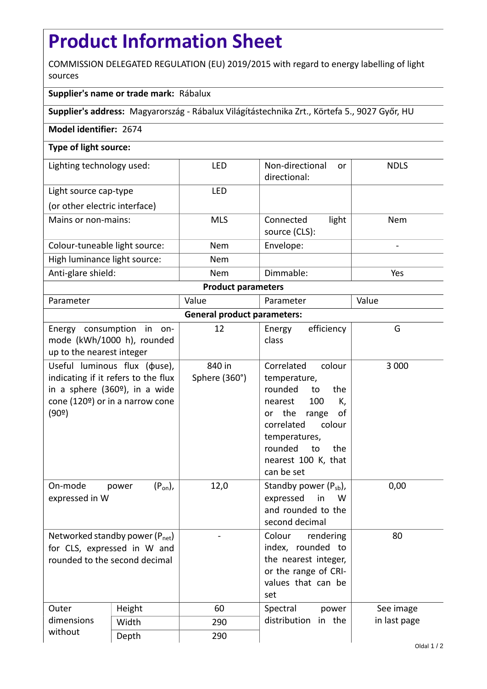## **Product Information Sheet**

COMMISSION DELEGATED REGULATION (EU) 2019/2015 with regard to energy labelling of light sources

## **Supplier's name or trade mark:** Rábalux

**Supplier's address:** Magyarország - Rábalux Világítástechnika Zrt., Körtefa 5., 9027 Győr, HU

## **Model identifier:** 2674

## **Type of light source:**

| Lighting technology used:     | LED        | Non-directional<br>or<br>directional: | <b>NDLS</b> |  |  |
|-------------------------------|------------|---------------------------------------|-------------|--|--|
| Light source cap-type         | LFD        |                                       |             |  |  |
| (or other electric interface) |            |                                       |             |  |  |
| Mains or non-mains:           | <b>MLS</b> | light<br>Connected<br>source (CLS):   | <b>Nem</b>  |  |  |
| Colour-tuneable light source: | <b>Nem</b> | Envelope:                             |             |  |  |
| High luminance light source:  | <b>Nem</b> |                                       |             |  |  |
| Anti-glare shield:            | <b>Nem</b> | Dimmable:                             | Yes         |  |  |
| <b>Product parameters</b>     |            |                                       |             |  |  |

| Parameter                                                    |                                                                                                                                                   | Value                   | Parameter                                                                                                                                                                                                        | Value        |  |  |
|--------------------------------------------------------------|---------------------------------------------------------------------------------------------------------------------------------------------------|-------------------------|------------------------------------------------------------------------------------------------------------------------------------------------------------------------------------------------------------------|--------------|--|--|
| <b>General product parameters:</b>                           |                                                                                                                                                   |                         |                                                                                                                                                                                                                  |              |  |  |
| up to the nearest integer                                    | Energy consumption in on-<br>mode (kWh/1000 h), rounded                                                                                           | 12                      | efficiency<br>Energy<br>class                                                                                                                                                                                    | G            |  |  |
| (90°)                                                        | Useful luminous flux ( $\phi$ use),<br>indicating if it refers to the flux<br>in a sphere $(360°)$ , in a wide<br>cone (120º) or in a narrow cone | 840 in<br>Sphere (360°) | Correlated<br>colour<br>temperature,<br>rounded<br>to<br>the<br>100<br>nearest<br>K,<br>or the range<br>οf<br>colour<br>correlated<br>temperatures,<br>rounded<br>to<br>the<br>nearest 100 K, that<br>can be set | 3 0 0 0      |  |  |
| On-mode<br>expressed in W                                    | $(P_{on})$ ,<br>power                                                                                                                             | 12,0                    | Standby power $(P_{sb})$ ,<br>expressed<br>in<br>W<br>and rounded to the<br>second decimal                                                                                                                       | 0,00         |  |  |
| for CLS, expressed in W and<br>rounded to the second decimal | Networked standby power $(P_{net})$                                                                                                               |                         | Colour<br>rendering<br>index, rounded to<br>the nearest integer,<br>or the range of CRI-<br>values that can be<br>set                                                                                            | 80           |  |  |
| Outer                                                        | Height                                                                                                                                            | 60                      | Spectral<br>power                                                                                                                                                                                                | See image    |  |  |
| dimensions                                                   | Width                                                                                                                                             | 290                     | distribution<br>in the                                                                                                                                                                                           | in last page |  |  |
| without                                                      | Depth                                                                                                                                             | 290                     |                                                                                                                                                                                                                  |              |  |  |